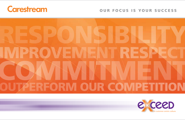

## OUR FOCUS IS YOUR SUCCESS



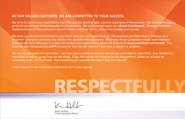## **AS OUR VALUED CUSTOMER, WE ARE COMMITTED TO YOUR SUCCESS.**

We strive to exceed your expectations and offer you the absolute best customer experience in the industry. Our employees make a personal commitment to the behaviors in this brochure. We call these behaviors our **eXceed Commitment**. Through consistent implementation of these behaviors we will create a customer centric culture that enables your success.

We share our eXceed Commitment so you know what you can expect from us. This brochure describes what it means to be a Customer Champion, someone who delivers the absolute best experience. When any of our Carestream Health team members demonstrate these behaviors in a way that exceeds your expectations, please let us know at **www.carestream.com/exceed**. This brochure also introduces the LEARN process for how we will respond if you have a concern or problem.

We are not yet where we want to be... we have opportunities to improve and we are committed to that effort. Your feedback is important to help us gauge how we are doing. If you feel we are not living up to our commitment, please let us know by contacting us at 1-877-5-eXceed. Representatives are available Monday-Friday, 8am-8pm ET.

I look forward to our continued relationship and to your success.

Kevin Hobert Chief Executive Officer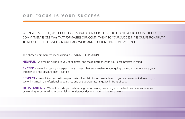WHEN YOU SUCCEED, WE SUCCEED AND SO WE ALIGN OUR EFFORTS TO ENABLE YOUR SUCCESS. THE EXCEED COMMITMENT IS ONE WAY THAT FORMALIZES OUR COMMITMENT TO YOUR SUCCESS. IT IS OUR RESPONSIBILITY TO MODEL THESE BEHAVIORS IN OUR DAILY WORK AND IN OUR INTERACTIONS WITH YOU.

The eXceed Commitment means being a CUSTOMER CHAMPION:

**HELPFUL** - We will be helpful to you at all times, and make decisions with your best interests in mind.

**EXCEED** - We will exceed your expectations in ways that are valuable to you, going the extra mile to ensure your experience is the absolute best it can be.

**RESPECT** - We will treat you with respect. We will explain issues clearly, listen to you and never talk down to you. We will maintain a professional appearance and use appropriate language in front of you.

**OUTSTANDING** - We will provide you outstanding performance, delivering you the best customer experience by working to our maximum potential — consistently demonstrating pride in our work.